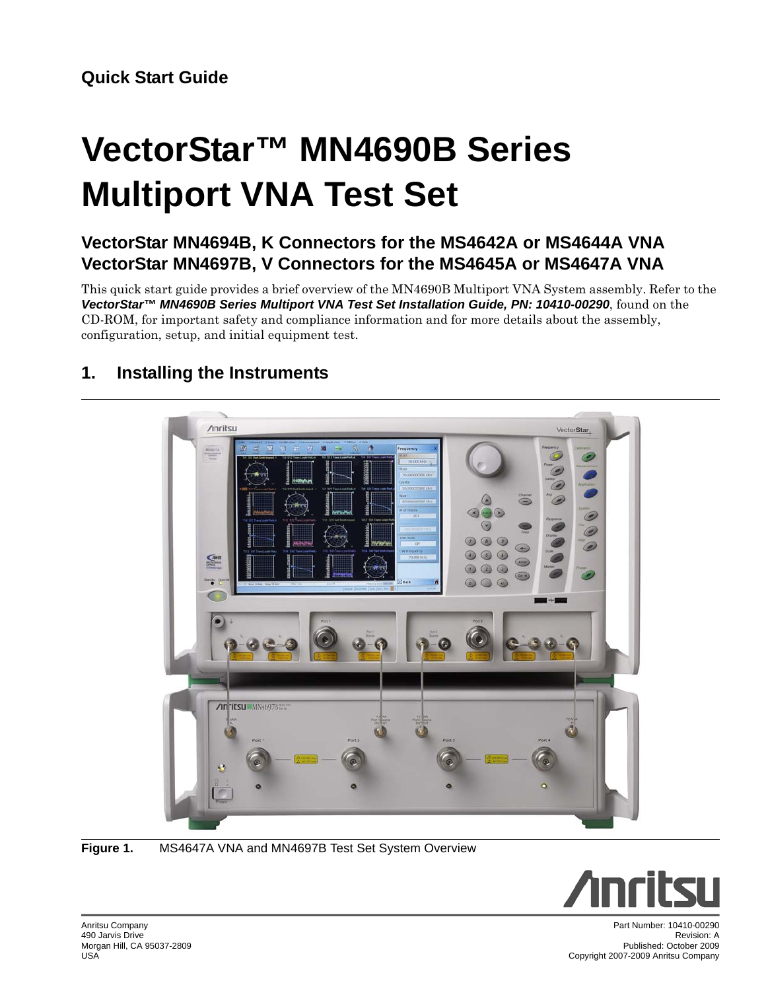# **VectorStar™ MN4690B Series Multiport VNA Test Set**

## **VectorStar MN4694B, K Connectors for the MS4642A or MS4644A VNA VectorStar MN4697B, V Connectors for the MS4645A or MS4647A VNA**

This quick start guide provides a brief overview of the MN4690B Multiport VNA System assembly. Refer to the *VectorStar™ MN4690B Series Multiport VNA Test Set Installation Guide, PN: 10410-00290*, found on the CD-ROM, for important safety and compliance information and for more details about the assembly, configuration, setup, and initial equipment test.



## **1. Installing the Instruments**

**Figure 1.** MS4647A VNA and MN4697B Test Set System Overview



Anritsu Company 490 Jarvis Drive Morgan Hill, CA 95037-2809 USA

Part Number: 10410-00290 Revision: A Published: October 2009 Copyright 2007-2009 Anritsu Company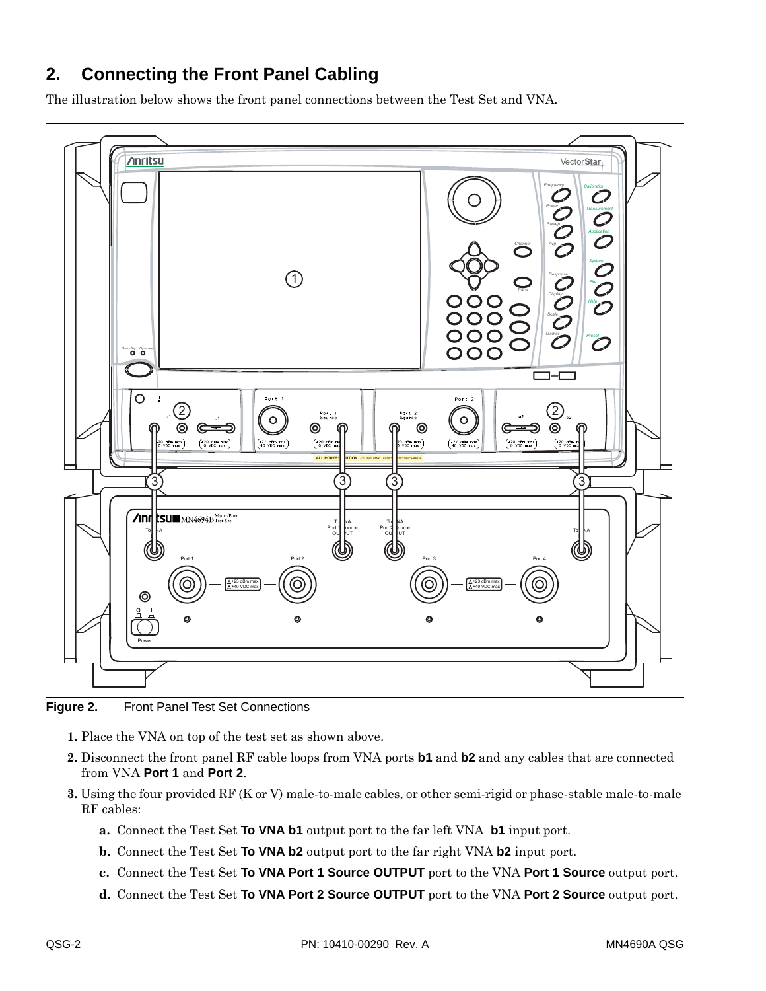#### **2. Connecting the Front Panel Cabling**

The illustration below shows the front panel connections between the Test Set and VNA.



**Figure 2.** Front Panel Test Set Connections

- **1.** Place the VNA on top of the test set as shown above.
- **2.** Disconnect the front panel RF cable loops from VNA ports **b1** and **b2** and any cables that are connected from VNA **Port 1** and **Port 2**.
- **3.** Using the four provided RF (K or V) male-to-male cables, or other semi-rigid or phase-stable male-to-male RF cables:
	- **a.** Connect the Test Set **To VNA b1** output port to the far left VNA **b1** input port.
	- **b.** Connect the Test Set **To VNA b2** output port to the far right VNA **b2** input port.
	- **c.** Connect the Test Set **To VNA Port 1 Source OUTPUT** port to the VNA **Port 1 Source** output port.
	- **d.** Connect the Test Set **To VNA Port 2 Source OUTPUT** port to the VNA **Port 2 Source** output port.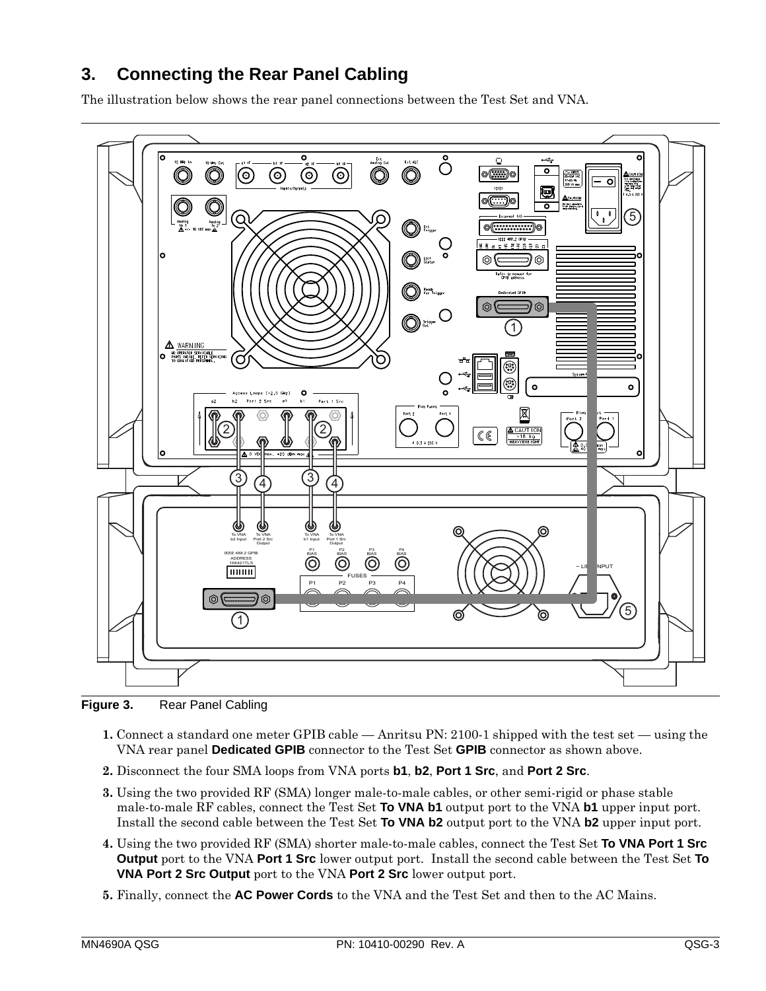### **3. Connecting the Rear Panel Cabling**

The illustration below shows the rear panel connections between the Test Set and VNA.



Figure 3. Rear Panel Cabling

- **1.** Connect a standard one meter GPIB cable Anritsu PN: 2100-1 shipped with the test set using the VNA rear panel **Dedicated GPIB** connector to the Test Set **GPIB** connector as shown above.
- **2.** Disconnect the four SMA loops from VNA ports **b1**, **b2**, **Port 1 Src**, and **Port 2 Src**.
- **3.** Using the two provided RF (SMA) longer male-to-male cables, or other semi-rigid or phase stable male-to-male RF cables, connect the Test Set **To VNA b1** output port to the VNA **b1** upper input port. Install the second cable between the Test Set **To VNA b2** output port to the VNA **b2** upper input port.
- **4.** Using the two provided RF (SMA) shorter male-to-male cables, connect the Test Set **To VNA Port 1 Src Output** port to the VNA **Port 1 Src** lower output port. Install the second cable between the Test Set **To VNA Port 2 Src Output** port to the VNA **Port 2 Src** lower output port.
- **5.** Finally, connect the **AC Power Cords** to the VNA and the Test Set and then to the AC Mains.